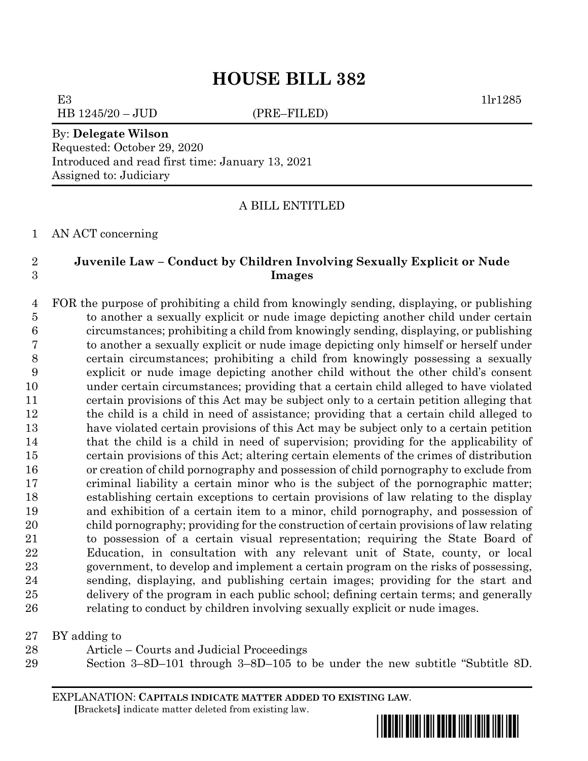HB 1245/20 – JUD (PRE–FILED)

E3  $1\text{lr}1285$ 

# By: **Delegate Wilson**

Requested: October 29, 2020 Introduced and read first time: January 13, 2021 Assigned to: Judiciary

## A BILL ENTITLED

AN ACT concerning

## **Juvenile Law – Conduct by Children Involving Sexually Explicit or Nude Images**

 FOR the purpose of prohibiting a child from knowingly sending, displaying, or publishing to another a sexually explicit or nude image depicting another child under certain circumstances; prohibiting a child from knowingly sending, displaying, or publishing to another a sexually explicit or nude image depicting only himself or herself under certain circumstances; prohibiting a child from knowingly possessing a sexually explicit or nude image depicting another child without the other child's consent under certain circumstances; providing that a certain child alleged to have violated certain provisions of this Act may be subject only to a certain petition alleging that the child is a child in need of assistance; providing that a certain child alleged to have violated certain provisions of this Act may be subject only to a certain petition that the child is a child in need of supervision; providing for the applicability of certain provisions of this Act; altering certain elements of the crimes of distribution or creation of child pornography and possession of child pornography to exclude from criminal liability a certain minor who is the subject of the pornographic matter; establishing certain exceptions to certain provisions of law relating to the display and exhibition of a certain item to a minor, child pornography, and possession of child pornography; providing for the construction of certain provisions of law relating to possession of a certain visual representation; requiring the State Board of Education, in consultation with any relevant unit of State, county, or local government, to develop and implement a certain program on the risks of possessing, sending, displaying, and publishing certain images; providing for the start and delivery of the program in each public school; defining certain terms; and generally relating to conduct by children involving sexually explicit or nude images.

BY adding to

- Article Courts and Judicial Proceedings
- Section 3–8D–101 through 3–8D–105 to be under the new subtitle "Subtitle 8D.

EXPLANATION: **CAPITALS INDICATE MATTER ADDED TO EXISTING LAW**.  **[**Brackets**]** indicate matter deleted from existing law.

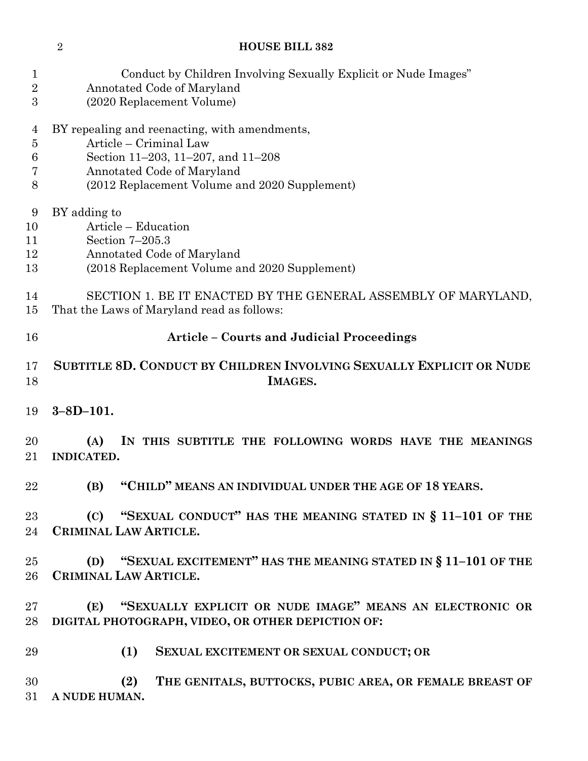| 1                       | Conduct by Children Involving Sexually Explicit or Nude Images"                    |  |
|-------------------------|------------------------------------------------------------------------------------|--|
| $\overline{\mathbf{2}}$ | Annotated Code of Maryland                                                         |  |
| 3                       | (2020 Replacement Volume)                                                          |  |
| 4                       | BY repealing and reenacting, with amendments,                                      |  |
| $\overline{5}$          | Article – Criminal Law                                                             |  |
| 6                       | Section 11-203, 11-207, and 11-208                                                 |  |
| 7                       | Annotated Code of Maryland                                                         |  |
| 8                       | (2012 Replacement Volume and 2020 Supplement)                                      |  |
| 9                       | BY adding to                                                                       |  |
| 10                      | Article - Education                                                                |  |
| 11                      | Section $7-205.3$                                                                  |  |
| 12                      | Annotated Code of Maryland                                                         |  |
| 13                      | (2018 Replacement Volume and 2020 Supplement)                                      |  |
| 14                      | SECTION 1. BE IT ENACTED BY THE GENERAL ASSEMBLY OF MARYLAND,                      |  |
| 15                      | That the Laws of Maryland read as follows:                                         |  |
| 16                      | <b>Article - Courts and Judicial Proceedings</b>                                   |  |
| 17                      | SUBTITLE 8D. CONDUCT BY CHILDREN INVOLVING SEXUALLY EXPLICIT OR NUDE               |  |
| 18                      | IMAGES.                                                                            |  |
| 19                      | $3 - 8D - 101.$                                                                    |  |
| 20<br>21                | (A)<br>IN THIS SUBTITLE THE FOLLOWING WORDS HAVE THE MEANINGS<br><b>INDICATED.</b> |  |
| 22                      | "CHILD" MEANS AN INDIVIDUAL UNDER THE AGE OF 18 YEARS.<br>(B)                      |  |
| $23\,$                  | (C) "SEXUAL CONDUCT" HAS THE MEANING STATED IN § 11-101 OF THE                     |  |
| 24                      | CRIMINAL LAW ARTICLE.                                                              |  |
| $25\,$                  | (D) "SEXUAL EXCITEMENT" HAS THE MEANING STATED IN § 11-101 OF THE                  |  |
| $26\,$                  | CRIMINAL LAW ARTICLE.                                                              |  |
| $27\,$                  | (E) "SEXUALLY EXPLICIT OR NUDE IMAGE" MEANS AN ELECTRONIC OR                       |  |
| $28\,$                  | DIGITAL PHOTOGRAPH, VIDEO, OR OTHER DEPICTION OF:                                  |  |
| 29                      | (1)<br>SEXUAL EXCITEMENT OR SEXUAL CONDUCT; OR                                     |  |
| 30<br>31                | THE GENITALS, BUTTOCKS, PUBIC AREA, OR FEMALE BREAST OF<br>(2)<br>A NUDE HUMAN.    |  |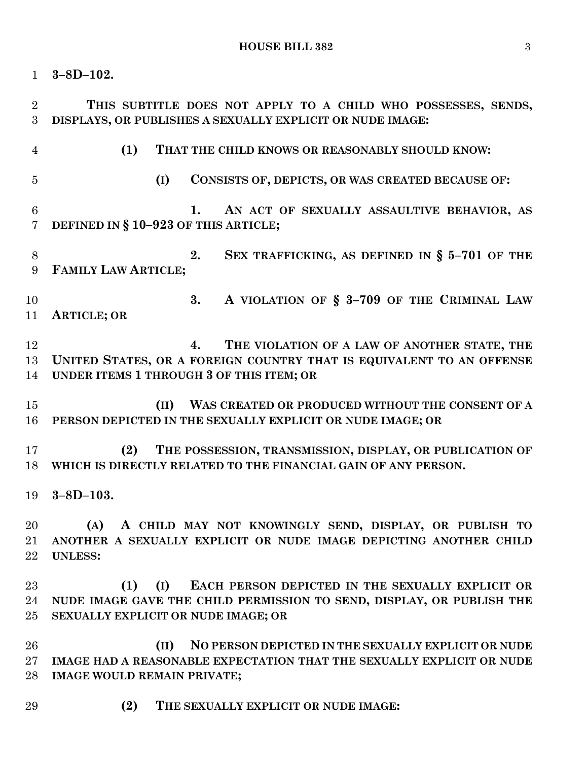**3–8D–102. THIS SUBTITLE DOES NOT APPLY TO A CHILD WHO POSSESSES, SENDS, DISPLAYS, OR PUBLISHES A SEXUALLY EXPLICIT OR NUDE IMAGE: (1) THAT THE CHILD KNOWS OR REASONABLY SHOULD KNOW: (I) CONSISTS OF, DEPICTS, OR WAS CREATED BECAUSE OF: 1. AN ACT OF SEXUALLY ASSAULTIVE BEHAVIOR, AS DEFINED IN § 10–923 OF THIS ARTICLE; 2. SEX TRAFFICKING, AS DEFINED IN § 5–701 OF THE FAMILY LAW ARTICLE; 3. A VIOLATION OF § 3–709 OF THE CRIMINAL LAW ARTICLE; OR 4. THE VIOLATION OF A LAW OF ANOTHER STATE, THE UNITED STATES, OR A FOREIGN COUNTRY THAT IS EQUIVALENT TO AN OFFENSE UNDER ITEMS 1 THROUGH 3 OF THIS ITEM; OR (II) WAS CREATED OR PRODUCED WITHOUT THE CONSENT OF A PERSON DEPICTED IN THE SEXUALLY EXPLICIT OR NUDE IMAGE; OR (2) THE POSSESSION, TRANSMISSION, DISPLAY, OR PUBLICATION OF WHICH IS DIRECTLY RELATED TO THE FINANCIAL GAIN OF ANY PERSON. 3–8D–103. (A) A CHILD MAY NOT KNOWINGLY SEND, DISPLAY, OR PUBLISH TO ANOTHER A SEXUALLY EXPLICIT OR NUDE IMAGE DEPICTING ANOTHER CHILD UNLESS: (1) (I) EACH PERSON DEPICTED IN THE SEXUALLY EXPLICIT OR NUDE IMAGE GAVE THE CHILD PERMISSION TO SEND, DISPLAY, OR PUBLISH THE SEXUALLY EXPLICIT OR NUDE IMAGE; OR (II) NO PERSON DEPICTED IN THE SEXUALLY EXPLICIT OR NUDE IMAGE HAD A REASONABLE EXPECTATION THAT THE SEXUALLY EXPLICIT OR NUDE IMAGE WOULD REMAIN PRIVATE; (2) THE SEXUALLY EXPLICIT OR NUDE IMAGE:**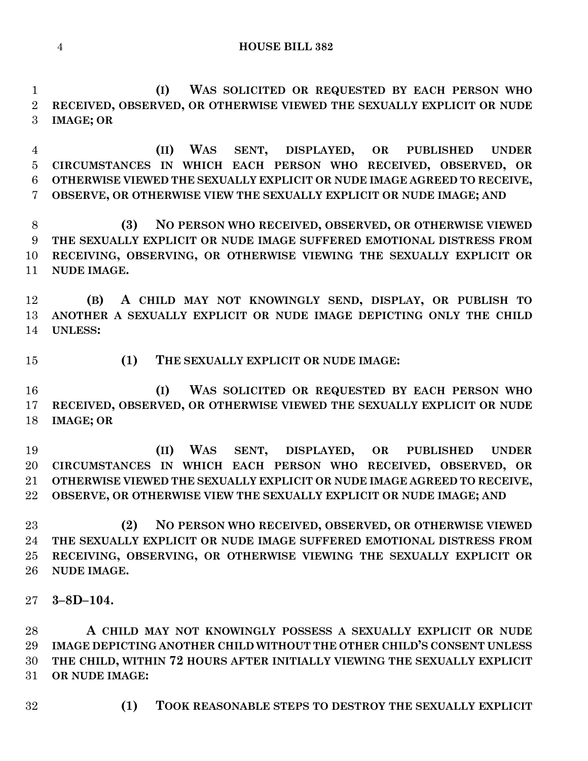**(I) WAS SOLICITED OR REQUESTED BY EACH PERSON WHO RECEIVED, OBSERVED, OR OTHERWISE VIEWED THE SEXUALLY EXPLICIT OR NUDE IMAGE; OR**

 **(II) WAS SENT, DISPLAYED, OR PUBLISHED UNDER CIRCUMSTANCES IN WHICH EACH PERSON WHO RECEIVED, OBSERVED, OR OTHERWISE VIEWED THE SEXUALLY EXPLICIT OR NUDE IMAGE AGREED TO RECEIVE, OBSERVE, OR OTHERWISE VIEW THE SEXUALLY EXPLICIT OR NUDE IMAGE; AND**

 **(3) NO PERSON WHO RECEIVED, OBSERVED, OR OTHERWISE VIEWED THE SEXUALLY EXPLICIT OR NUDE IMAGE SUFFERED EMOTIONAL DISTRESS FROM RECEIVING, OBSERVING, OR OTHERWISE VIEWING THE SEXUALLY EXPLICIT OR NUDE IMAGE.**

 **(B) A CHILD MAY NOT KNOWINGLY SEND, DISPLAY, OR PUBLISH TO ANOTHER A SEXUALLY EXPLICIT OR NUDE IMAGE DEPICTING ONLY THE CHILD UNLESS:**

- 
- **(1) THE SEXUALLY EXPLICIT OR NUDE IMAGE:**

 **(I) WAS SOLICITED OR REQUESTED BY EACH PERSON WHO RECEIVED, OBSERVED, OR OTHERWISE VIEWED THE SEXUALLY EXPLICIT OR NUDE IMAGE; OR**

 **(II) WAS SENT, DISPLAYED, OR PUBLISHED UNDER CIRCUMSTANCES IN WHICH EACH PERSON WHO RECEIVED, OBSERVED, OR OTHERWISE VIEWED THE SEXUALLY EXPLICIT OR NUDE IMAGE AGREED TO RECEIVE, OBSERVE, OR OTHERWISE VIEW THE SEXUALLY EXPLICIT OR NUDE IMAGE; AND**

 **(2) NO PERSON WHO RECEIVED, OBSERVED, OR OTHERWISE VIEWED THE SEXUALLY EXPLICIT OR NUDE IMAGE SUFFERED EMOTIONAL DISTRESS FROM RECEIVING, OBSERVING, OR OTHERWISE VIEWING THE SEXUALLY EXPLICIT OR NUDE IMAGE.**

**3–8D–104.**

 **A CHILD MAY NOT KNOWINGLY POSSESS A SEXUALLY EXPLICIT OR NUDE IMAGE DEPICTING ANOTHER CHILD WITHOUT THE OTHER CHILD'S CONSENT UNLESS THE CHILD, WITHIN 72 HOURS AFTER INITIALLY VIEWING THE SEXUALLY EXPLICIT OR NUDE IMAGE:**

**(1) TOOK REASONABLE STEPS TO DESTROY THE SEXUALLY EXPLICIT**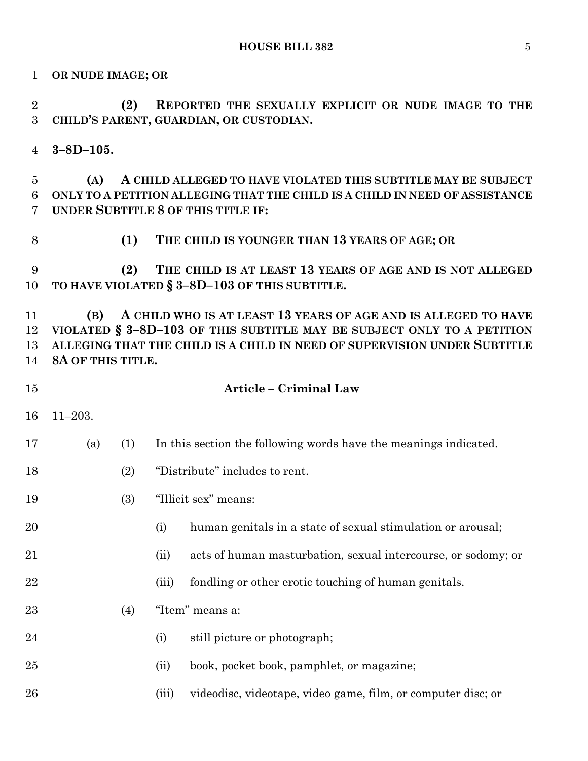**OR NUDE IMAGE; OR**

 **(2) REPORTED THE SEXUALLY EXPLICIT OR NUDE IMAGE TO THE CHILD'S PARENT, GUARDIAN, OR CUSTODIAN. 3–8D–105. (A) A CHILD ALLEGED TO HAVE VIOLATED THIS SUBTITLE MAY BE SUBJECT ONLY TO A PETITION ALLEGING THAT THE CHILD IS A CHILD IN NEED OF ASSISTANCE UNDER SUBTITLE 8 OF THIS TITLE IF: (1) THE CHILD IS YOUNGER THAN 13 YEARS OF AGE; OR (2) THE CHILD IS AT LEAST 13 YEARS OF AGE AND IS NOT ALLEGED TO HAVE VIOLATED § 3–8D–103 OF THIS SUBTITLE. (B) A CHILD WHO IS AT LEAST 13 YEARS OF AGE AND IS ALLEGED TO HAVE VIOLATED § 3–8D–103 OF THIS SUBTITLE MAY BE SUBJECT ONLY TO A PETITION ALLEGING THAT THE CHILD IS A CHILD IN NEED OF SUPERVISION UNDER SUBTITLE 8A OF THIS TITLE. Article – Criminal Law** 11–203. (a) (1) In this section the following words have the meanings indicated. (2) "Distribute" includes to rent. (3) "Illicit sex" means: (i) human genitals in a state of sexual stimulation or arousal; (ii) acts of human masturbation, sexual intercourse, or sodomy; or 22 (iii) fondling or other erotic touching of human genitals.  $(4)$  "Item" means a: 24 (i) still picture or photograph; (ii) book, pocket book, pamphlet, or magazine; (iii) videodisc, videotape, video game, film, or computer disc; or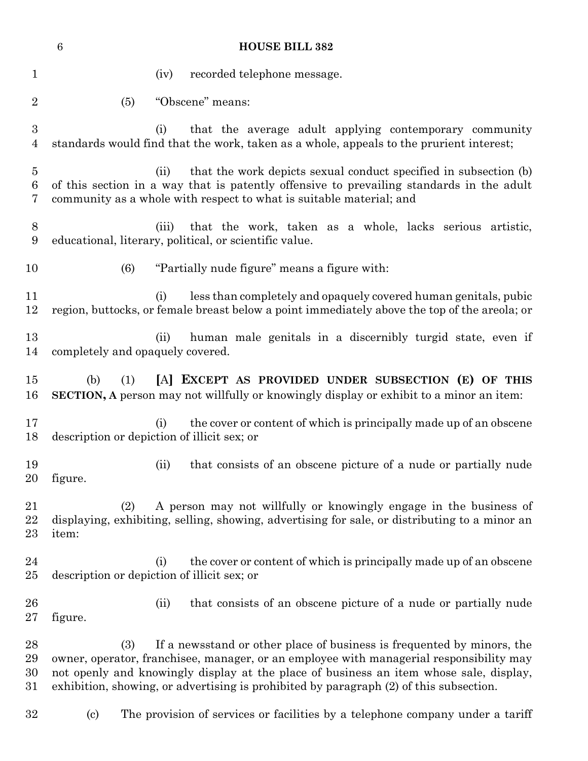|                                    | $\,6\,$                          | <b>HOUSE BILL 382</b>                                                                                                                                                                                                                                                                                                                                 |
|------------------------------------|----------------------------------|-------------------------------------------------------------------------------------------------------------------------------------------------------------------------------------------------------------------------------------------------------------------------------------------------------------------------------------------------------|
| $\mathbf{1}$                       |                                  | recorded telephone message.<br>(iv)                                                                                                                                                                                                                                                                                                                   |
| $\overline{2}$                     | (5)                              | "Obscene" means:                                                                                                                                                                                                                                                                                                                                      |
| $\boldsymbol{3}$<br>$\overline{4}$ |                                  | that the average adult applying contemporary community<br>(i)<br>standards would find that the work, taken as a whole, appeals to the prurient interest;                                                                                                                                                                                              |
| $\overline{5}$<br>6<br>7           |                                  | that the work depicts sexual conduct specified in subsection (b)<br>(ii)<br>of this section in a way that is patently offensive to prevailing standards in the adult<br>community as a whole with respect to what is suitable material; and                                                                                                           |
| 8<br>9                             |                                  | that the work, taken as a whole, lacks serious artistic,<br>(iii)<br>educational, literary, political, or scientific value.                                                                                                                                                                                                                           |
| 10                                 | (6)                              | "Partially nude figure" means a figure with:                                                                                                                                                                                                                                                                                                          |
| 11<br>12                           |                                  | less than completely and opaquely covered human genitals, pubic<br>(i)<br>region, buttocks, or female breast below a point immediately above the top of the areola; or                                                                                                                                                                                |
| 13<br>14                           | completely and opaquely covered. | human male genitals in a discernibly turgid state, even if<br>(ii)                                                                                                                                                                                                                                                                                    |
| 15<br>16                           | (b)<br>(1)                       | [A] EXCEPT AS PROVIDED UNDER SUBSECTION (E) OF THIS<br><b>SECTION, A</b> person may not willfully or knowingly display or exhibit to a minor an item:                                                                                                                                                                                                 |
| 17<br>18                           |                                  | the cover or content of which is principally made up of an obscene<br>(i)<br>description or depiction of illicit sex; or                                                                                                                                                                                                                              |
| 19<br>20                           | figure.                          | that consists of an obscene picture of a nude or partially nude<br>(ii)                                                                                                                                                                                                                                                                               |
| $21\,$<br>22<br>23                 | (2)<br>item:                     | A person may not willfully or knowingly engage in the business of<br>displaying, exhibiting, selling, showing, advertising for sale, or distributing to a minor an                                                                                                                                                                                    |
| 24<br>$25\,$                       |                                  | the cover or content of which is principally made up of an obscene<br>(i)<br>description or depiction of illicit sex; or                                                                                                                                                                                                                              |
| 26<br>$27\,$                       | figure.                          | that consists of an obscene picture of a nude or partially nude<br>(ii)                                                                                                                                                                                                                                                                               |
| 28<br>29<br>30<br>31               | (3)                              | If a newsstand or other place of business is frequented by minors, the<br>owner, operator, franchisee, manager, or an employee with managerial responsibility may<br>not openly and knowingly display at the place of business an item whose sale, display,<br>exhibition, showing, or advertising is prohibited by paragraph (2) of this subsection. |
| $32\,$                             | $\left( \mathrm{c}\right)$       | The provision of services or facilities by a telephone company under a tariff                                                                                                                                                                                                                                                                         |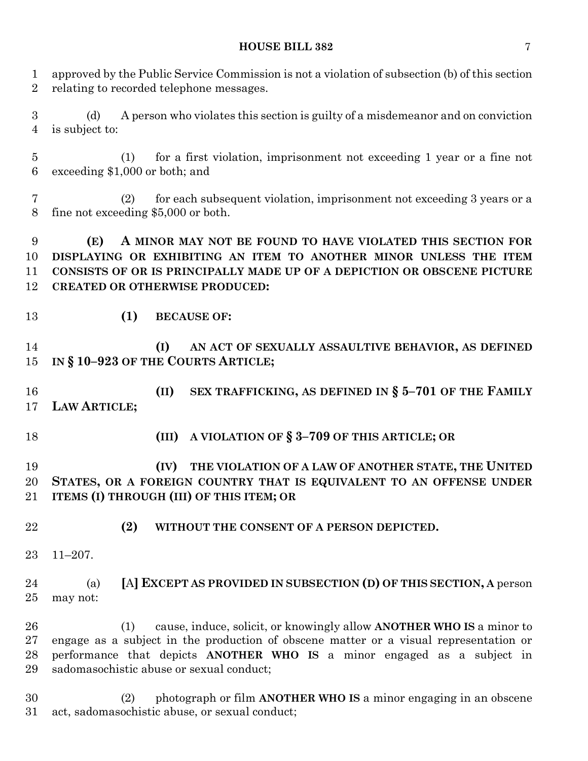## **HOUSE BILL 382** 7

| $\mathbf{1}$<br>$\overline{2}$     | approved by the Public Service Commission is not a violation of subsection (b) of this section<br>relating to recorded telephone messages.                                                                                                                                                         |
|------------------------------------|----------------------------------------------------------------------------------------------------------------------------------------------------------------------------------------------------------------------------------------------------------------------------------------------------|
| $\boldsymbol{3}$<br>$\overline{4}$ | A person who violates this section is guilty of a misdemeanor and on conviction<br>(d)<br>is subject to:                                                                                                                                                                                           |
| $\overline{5}$<br>$6\phantom{.}6$  | for a first violation, imprisonment not exceeding 1 year or a fine not<br>(1)<br>exceeding \$1,000 or both; and                                                                                                                                                                                    |
| 7<br>8                             | for each subsequent violation, imprisonment not exceeding 3 years or a<br>(2)<br>fine not exceeding \$5,000 or both.                                                                                                                                                                               |
| 9<br>10<br>11<br>12                | A MINOR MAY NOT BE FOUND TO HAVE VIOLATED THIS SECTION FOR<br>(E)<br>DISPLAYING OR EXHIBITING AN ITEM TO ANOTHER MINOR UNLESS THE ITEM<br>CONSISTS OF OR IS PRINCIPALLY MADE UP OF A DEPICTION OR OBSCENE PICTURE<br><b>CREATED OR OTHERWISE PRODUCED:</b>                                         |
| 13                                 | (1)<br><b>BECAUSE OF:</b>                                                                                                                                                                                                                                                                          |
| 14<br>15                           | (I)<br>AN ACT OF SEXUALLY ASSAULTIVE BEHAVIOR, AS DEFINED<br>IN § 10-923 OF THE COURTS ARTICLE;                                                                                                                                                                                                    |
| 16<br>17                           | SEX TRAFFICKING, AS DEFINED IN $\S$ 5-701 OF THE FAMILY<br>(II)<br>LAW ARTICLE;                                                                                                                                                                                                                    |
| 18                                 | A VIOLATION OF § 3-709 OF THIS ARTICLE; OR<br>(III)                                                                                                                                                                                                                                                |
| 19<br>20<br>21                     | THE VIOLATION OF A LAW OF ANOTHER STATE, THE UNITED<br>(IV)<br>STATES, OR A FOREIGN COUNTRY THAT IS EQUIVALENT TO AN OFFENSE UNDER<br>ITEMS (I) THROUGH (III) OF THIS ITEM; OR                                                                                                                     |
| 22                                 | (2)<br>WITHOUT THE CONSENT OF A PERSON DEPICTED.                                                                                                                                                                                                                                                   |
| 23                                 | $11 - 207$ .                                                                                                                                                                                                                                                                                       |
| 24<br>$25\,$                       | [A] EXCEPT AS PROVIDED IN SUBSECTION (D) OF THIS SECTION, A person<br>(a)<br>may not:                                                                                                                                                                                                              |
| 26<br>$27\,$<br>28<br>29           | cause, induce, solicit, or knowingly allow <b>ANOTHER WHO IS</b> a minor to<br>(1)<br>engage as a subject in the production of obscene matter or a visual representation or<br>performance that depicts ANOTHER WHO IS a minor engaged as a subject in<br>sadomasochistic abuse or sexual conduct; |
| 30                                 | photograph or film ANOTHER WHO IS a minor engaging in an obscene<br>(2)                                                                                                                                                                                                                            |

act, sadomasochistic abuse, or sexual conduct;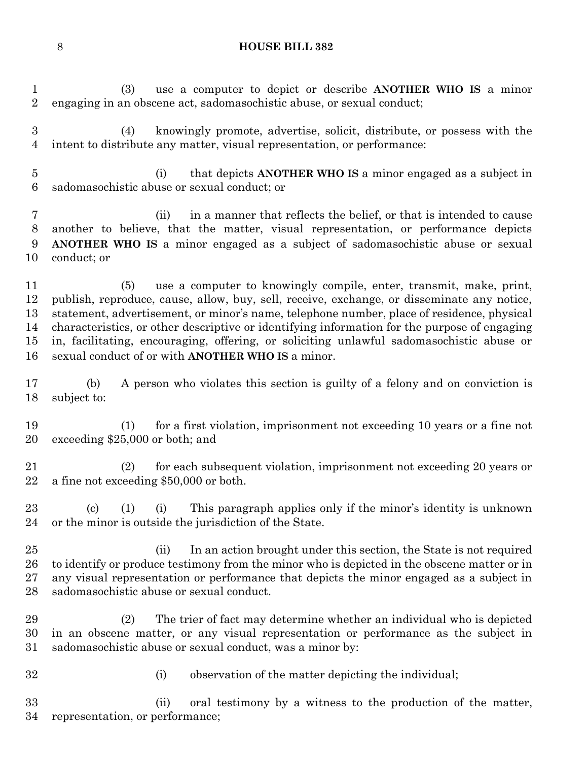(3) use a computer to depict or describe **ANOTHER WHO IS** a minor engaging in an obscene act, sadomasochistic abuse, or sexual conduct;

 (4) knowingly promote, advertise, solicit, distribute, or possess with the intent to distribute any matter, visual representation, or performance:

 (i) that depicts **ANOTHER WHO IS** a minor engaged as a subject in sadomasochistic abuse or sexual conduct; or

 (ii) in a manner that reflects the belief, or that is intended to cause another to believe, that the matter, visual representation, or performance depicts **ANOTHER WHO IS** a minor engaged as a subject of sadomasochistic abuse or sexual conduct; or

 (5) use a computer to knowingly compile, enter, transmit, make, print, publish, reproduce, cause, allow, buy, sell, receive, exchange, or disseminate any notice, statement, advertisement, or minor's name, telephone number, place of residence, physical characteristics, or other descriptive or identifying information for the purpose of engaging in, facilitating, encouraging, offering, or soliciting unlawful sadomasochistic abuse or sexual conduct of or with **ANOTHER WHO IS** a minor.

 (b) A person who violates this section is guilty of a felony and on conviction is subject to:

 (1) for a first violation, imprisonment not exceeding 10 years or a fine not exceeding \$25,000 or both; and

 (2) for each subsequent violation, imprisonment not exceeding 20 years or a fine not exceeding \$50,000 or both.

 (c) (1) (i) This paragraph applies only if the minor's identity is unknown or the minor is outside the jurisdiction of the State.

 (ii) In an action brought under this section, the State is not required 26 to identify or produce testimony from the minor who is depicted in the obscene matter or in any visual representation or performance that depicts the minor engaged as a subject in sadomasochistic abuse or sexual conduct.

 (2) The trier of fact may determine whether an individual who is depicted in an obscene matter, or any visual representation or performance as the subject in sadomasochistic abuse or sexual conduct, was a minor by:

- 
- (i) observation of the matter depicting the individual;

 (ii) oral testimony by a witness to the production of the matter, representation, or performance;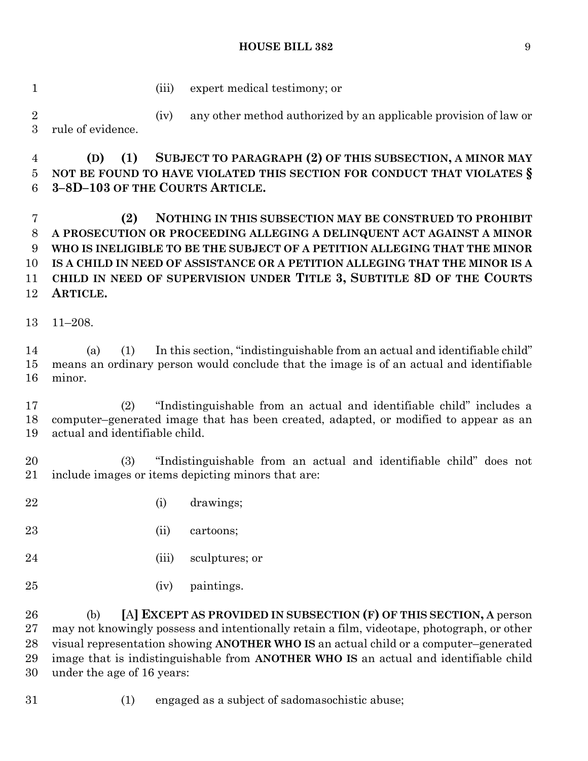### **HOUSE BILL 382** 9

(iii) expert medical testimony; or

 (iv) any other method authorized by an applicable provision of law or rule of evidence.

 **(D) (1) SUBJECT TO PARAGRAPH (2) OF THIS SUBSECTION, A MINOR MAY NOT BE FOUND TO HAVE VIOLATED THIS SECTION FOR CONDUCT THAT VIOLATES § 3–8D–103 OF THE COURTS ARTICLE.**

 **(2) NOTHING IN THIS SUBSECTION MAY BE CONSTRUED TO PROHIBIT A PROSECUTION OR PROCEEDING ALLEGING A DELINQUENT ACT AGAINST A MINOR WHO IS INELIGIBLE TO BE THE SUBJECT OF A PETITION ALLEGING THAT THE MINOR IS A CHILD IN NEED OF ASSISTANCE OR A PETITION ALLEGING THAT THE MINOR IS A CHILD IN NEED OF SUPERVISION UNDER TITLE 3, SUBTITLE 8D OF THE COURTS ARTICLE.**

11–208.

 (a) (1) In this section, "indistinguishable from an actual and identifiable child" means an ordinary person would conclude that the image is of an actual and identifiable minor.

 (2) "Indistinguishable from an actual and identifiable child" includes a computer–generated image that has been created, adapted, or modified to appear as an actual and identifiable child.

 (3) "Indistinguishable from an actual and identifiable child" does not include images or items depicting minors that are:

- (i) drawings;
- (ii) cartoons;
- 24 (iii) sculptures; or
- (iv) paintings.

 (b) **[**A**] EXCEPT AS PROVIDED IN SUBSECTION (F) OF THIS SECTION, A** person may not knowingly possess and intentionally retain a film, videotape, photograph, or other visual representation showing **ANOTHER WHO IS** an actual child or a computer–generated image that is indistinguishable from **ANOTHER WHO IS** an actual and identifiable child under the age of 16 years:

(1) engaged as a subject of sadomasochistic abuse;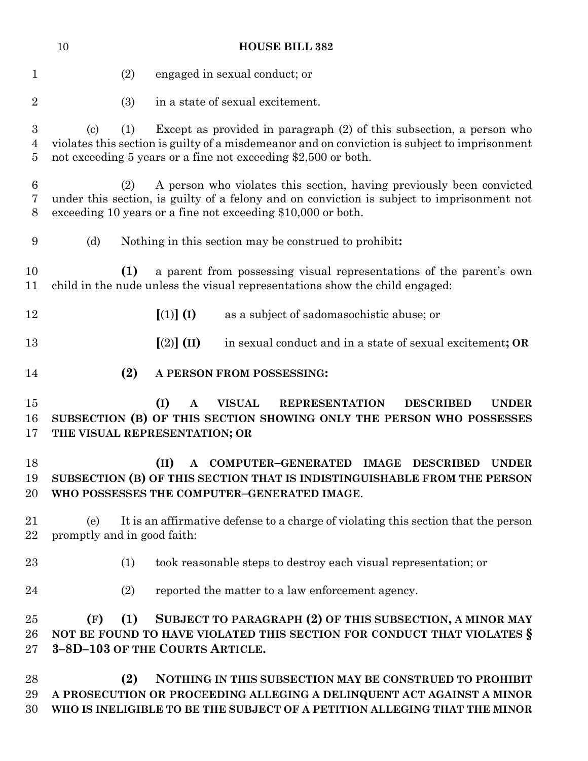|                          | 10<br><b>HOUSE BILL 382</b>                                                                                                                                                                                                                                                  |
|--------------------------|------------------------------------------------------------------------------------------------------------------------------------------------------------------------------------------------------------------------------------------------------------------------------|
| $\mathbf 1$              | (2)<br>engaged in sexual conduct; or                                                                                                                                                                                                                                         |
| $\overline{2}$           | in a state of sexual excitement.<br>(3)                                                                                                                                                                                                                                      |
| 3<br>4<br>$\overline{5}$ | Except as provided in paragraph (2) of this subsection, a person who<br>(1)<br>$\left( \mathrm{c}\right)$<br>violates this section is guilty of a misdemeanor and on conviction is subject to imprisonment<br>not exceeding 5 years or a fine not exceeding \$2,500 or both. |
| 6<br>7<br>8              | A person who violates this section, having previously been convicted<br>(2)<br>under this section, is guilty of a felony and on conviction is subject to imprisonment not<br>exceeding 10 years or a fine not exceeding \$10,000 or both.                                    |
| 9                        | (d)<br>Nothing in this section may be construed to prohibit:                                                                                                                                                                                                                 |
| 10<br>11                 | (1)<br>a parent from possessing visual representations of the parent's own<br>child in the nude unless the visual representations show the child engaged:                                                                                                                    |
| 12                       | $[(1)]$ $(I)$<br>as a subject of sadomasochistic abuse; or                                                                                                                                                                                                                   |
| 13                       | $[(2)]$ (II)<br>in sexual conduct and in a state of sexual excitement; OR                                                                                                                                                                                                    |
| 14                       | (2)<br>A PERSON FROM POSSESSING:                                                                                                                                                                                                                                             |
| 15<br>16<br>17           | (I)<br><b>VISUAL</b><br><b>REPRESENTATION</b><br><b>DESCRIBED</b><br><b>UNDER</b><br>A<br>SUBSECTION (B) OF THIS SECTION SHOWING ONLY THE PERSON WHO POSSESSES<br>THE VISUAL REPRESENTATION; OR                                                                              |
| 18<br>19<br>20           | (II)<br>COMPUTER-GENERATED IMAGE<br><b>DESCRIBED</b><br><b>UNDER</b><br>$\mathbf{A}$<br>SUBSECTION (B) OF THIS SECTION THAT IS INDISTINGUISHABLE FROM THE PERSON<br>WHO POSSESSES THE COMPUTER-GENERATED IMAGE.                                                              |
| 21<br>22                 | It is an affirmative defense to a charge of violating this section that the person<br>(e)<br>promptly and in good faith:                                                                                                                                                     |
| 23                       | (1)<br>took reasonable steps to destroy each visual representation; or                                                                                                                                                                                                       |
| 24                       | (2)<br>reported the matter to a law enforcement agency.                                                                                                                                                                                                                      |
| 25<br>26<br>27           | SUBJECT TO PARAGRAPH (2) OF THIS SUBSECTION, A MINOR MAY<br>(1)<br>(F)<br>NOT BE FOUND TO HAVE VIOLATED THIS SECTION FOR CONDUCT THAT VIOLATES §<br>3-8D-103 OF THE COURTS ARTICLE.                                                                                          |
| 28<br>29<br>30           | (2)<br>NOTHING IN THIS SUBSECTION MAY BE CONSTRUED TO PROHIBIT<br>A PROSECUTION OR PROCEEDING ALLEGING A DELINQUENT ACT AGAINST A MINOR<br>WHO IS INELIGIBLE TO BE THE SUBJECT OF A PETITION ALLEGING THAT THE MINOR                                                         |